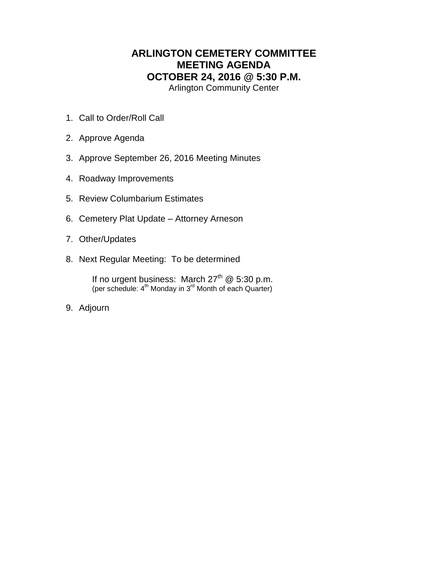## **ARLINGTON CEMETERY COMMITTEE MEETING AGENDA OCTOBER 24, 2016 @ 5:30 P.M.** Arlington Community Center

- 1. Call to Order/Roll Call
- 2. Approve Agenda
- 3. Approve September 26, 2016 Meeting Minutes
- 4. Roadway Improvements
- 5. Review Columbarium Estimates
- 6. Cemetery Plat Update Attorney Arneson
- 7. Other/Updates
- 8. Next Regular Meeting: To be determined

If no urgent business: March 27<sup>th</sup> @ 5:30 p.m. (per schedule: 4<sup>th</sup> Monday in 3<sup>rd</sup> Month of each Quarter)

9. Adjourn